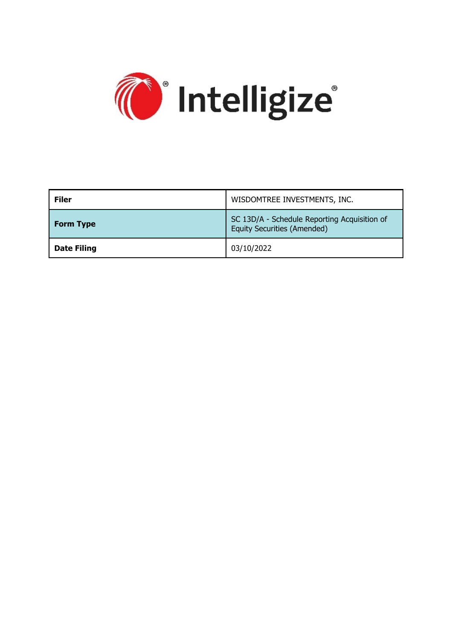

| <b>Filer</b>       | WISDOMTREE INVESTMENTS, INC.                                                       |  |
|--------------------|------------------------------------------------------------------------------------|--|
| <b>Form Type</b>   | SC 13D/A - Schedule Reporting Acquisition of<br><b>Equity Securities (Amended)</b> |  |
| <b>Date Filing</b> | 03/10/2022                                                                         |  |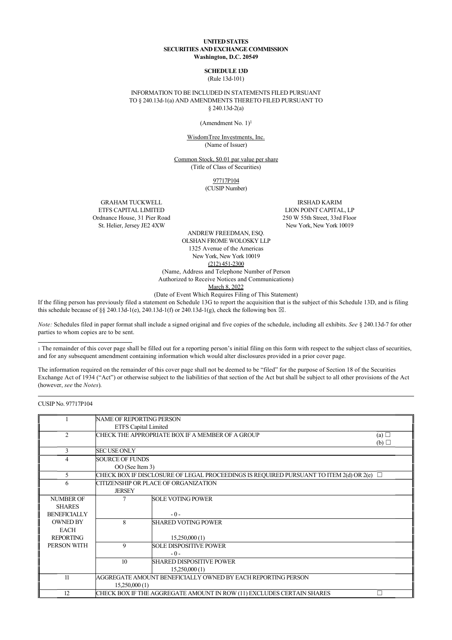#### **UNITED STATES SECURITIES AND EXCHANGE COMMISSION Washington, D.C. 20549**

## **SCHEDULE 13D**

(Rule 13d-101)

INFORMATION TO BE INCLUDED IN STATEMENTS FILED PURSUANT TO § 240.13d-1(a) AND AMENDMENTS THERETO FILED PURSUANT TO § 240.13d-2(a)

(Amendment No.  $1$ )<sup>1</sup>

WisdomTree Investments, Inc. (Name of Issuer)

Common Stock, \$0.01 par value per share (Title of Class of Securities)

> 97717P104 (CUSIP Number)

GRAHAM TUCKWELL ETFS CAPITAL LIMITED Ordnance House, 31 Pier Road St. Helier, Jersey JE2 4XW

IRSHAD KARIM LION POINT CAPITAL, LP 250 W 55th Street, 33rd Floor New York, New York 10019

ANDREW FREEDMAN, ESQ. OLSHAN FROME WOLOSKY LLP 1325 Avenue of the Americas New York, New York 10019 (212) 451-2300 (Name, Address and Telephone Number of Person

Authorized to Receive Notices and Communications)

March 8, 2022

(Date of Event Which Requires Filing of This Statement)

If the filing person has previously filed a statement on Schedule 13G to report the acquisition that is the subject of this Schedule 13D, and is filing this schedule because of §§ 240.13d-1(e), 240.13d-1(f) or 240.13d-1(g), check the following box  $\boxtimes$ .

*Note:* Schedules filed in paper format shall include a signed original and five copies of the schedule, including all exhibits. *See* § 240.13d-7 for other parties to whom copies are to be sent.

1 The remainder of this cover page shall be filled out for a reporting person's initial filing on this form with respect to the subject class of securities, and for any subsequent amendment containing information which would alter disclosures provided in a prior cover page.

The information required on the remainder of this cover page shall not be deemed to be "filed" for the purpose of Section 18 of the Securities Exchange Act of 1934 ("Act") or otherwise subject to the liabilities of that section of the Act but shall be subject to all other provisions of the Act (however, *see* the *Notes*).

CUSIP No. 97717P104

|                     | <b>NAME OF REPORTING PERSON</b> |                                                                                        |            |
|---------------------|---------------------------------|----------------------------------------------------------------------------------------|------------|
|                     | <b>ETFS Capital Limited</b>     |                                                                                        |            |
| $\overline{2}$      |                                 | CHECK THE APPROPRIATE BOX IF A MEMBER OF A GROUP                                       | (a) $\Box$ |
|                     |                                 |                                                                                        | (b)        |
| 3                   | <b>SEC USE ONLY</b>             |                                                                                        |            |
| 4                   | <b>SOURCE OF FUNDS</b>          |                                                                                        |            |
|                     | OO (See Item 3)                 |                                                                                        |            |
| 5                   |                                 | CHECK BOX IF DISCLOSURE OF LEGAL PROCEEDINGS IS REQUIRED PURSUANT TO ITEM 2(d) OR 2(e) | $\Box$     |
| 6                   |                                 | CITIZENSHIP OR PLACE OF ORGANIZATION                                                   |            |
|                     | <b>JERSEY</b>                   |                                                                                        |            |
| <b>NUMBER OF</b>    |                                 | <b>SOLE VOTING POWER</b>                                                               |            |
| <b>SHARES</b>       |                                 |                                                                                        |            |
| <b>BENEFICIALLY</b> |                                 | $-0-$                                                                                  |            |
| <b>OWNED BY</b>     | 8                               | <b>SHARED VOTING POWER</b>                                                             |            |
| <b>EACH</b>         |                                 |                                                                                        |            |
| <b>REPORTING</b>    |                                 | 15,250,000(1)                                                                          |            |
| PERSON WITH         | 9                               | <b>SOLE DISPOSITIVE POWER</b>                                                          |            |
|                     |                                 | $-0-$                                                                                  |            |
|                     | 10                              | <b>SHARED DISPOSITIVE POWER</b>                                                        |            |
|                     |                                 | 15,250,000(1)                                                                          |            |
| 11                  |                                 | AGGREGATE AMOUNT BENEFICIALLY OWNED BY EACH REPORTING PERSON                           |            |
|                     | 15,250,000(1)                   |                                                                                        |            |
| 12                  |                                 | CHECK BOX IF THE AGGREGATE AMOUNT IN ROW (11) EXCLUDES CERTAIN SHARES                  |            |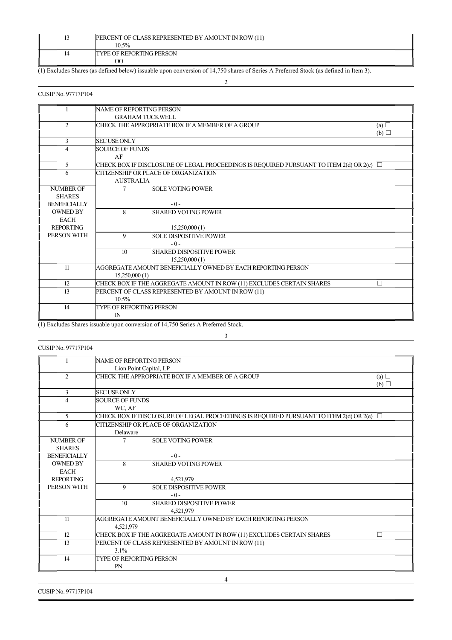|    | PERCENT OF CLASS REPRESENTED BY AMOUNT IN ROW (11)<br>10.5% |
|----|-------------------------------------------------------------|
| 14 | <b>TYPE OF REPORTING PERSON</b><br>OC                       |
|    |                                                             |

(1) Excludes Shares (as defined below) issuable upon conversion of 14,750 shares of Series A Preferred Stock (as defined in Item 3).

## 2

## CUSIP No. 97717P104

|                                                                            |                                                                            | (a) $\Box$                                                                                                                                                                                                                                                                                                                                                                                                                                                                         |
|----------------------------------------------------------------------------|----------------------------------------------------------------------------|------------------------------------------------------------------------------------------------------------------------------------------------------------------------------------------------------------------------------------------------------------------------------------------------------------------------------------------------------------------------------------------------------------------------------------------------------------------------------------|
|                                                                            |                                                                            | (b)                                                                                                                                                                                                                                                                                                                                                                                                                                                                                |
| <b>SECUSE ONLY</b>                                                         |                                                                            |                                                                                                                                                                                                                                                                                                                                                                                                                                                                                    |
| <b>SOURCE OF FUNDS</b>                                                     |                                                                            |                                                                                                                                                                                                                                                                                                                                                                                                                                                                                    |
| AF                                                                         |                                                                            |                                                                                                                                                                                                                                                                                                                                                                                                                                                                                    |
|                                                                            |                                                                            |                                                                                                                                                                                                                                                                                                                                                                                                                                                                                    |
|                                                                            |                                                                            |                                                                                                                                                                                                                                                                                                                                                                                                                                                                                    |
|                                                                            |                                                                            |                                                                                                                                                                                                                                                                                                                                                                                                                                                                                    |
|                                                                            | <b>SOLE VOTING POWER</b>                                                   |                                                                                                                                                                                                                                                                                                                                                                                                                                                                                    |
|                                                                            |                                                                            |                                                                                                                                                                                                                                                                                                                                                                                                                                                                                    |
|                                                                            | $-0-$                                                                      |                                                                                                                                                                                                                                                                                                                                                                                                                                                                                    |
| 8                                                                          | <b>SHARED VOTING POWER</b>                                                 |                                                                                                                                                                                                                                                                                                                                                                                                                                                                                    |
|                                                                            |                                                                            |                                                                                                                                                                                                                                                                                                                                                                                                                                                                                    |
|                                                                            | 15,250,000(1)                                                              |                                                                                                                                                                                                                                                                                                                                                                                                                                                                                    |
| 9                                                                          | <b>SOLE DISPOSITIVE POWER</b>                                              |                                                                                                                                                                                                                                                                                                                                                                                                                                                                                    |
|                                                                            | $-0-$                                                                      |                                                                                                                                                                                                                                                                                                                                                                                                                                                                                    |
|                                                                            |                                                                            |                                                                                                                                                                                                                                                                                                                                                                                                                                                                                    |
|                                                                            |                                                                            |                                                                                                                                                                                                                                                                                                                                                                                                                                                                                    |
|                                                                            |                                                                            |                                                                                                                                                                                                                                                                                                                                                                                                                                                                                    |
|                                                                            |                                                                            |                                                                                                                                                                                                                                                                                                                                                                                                                                                                                    |
| CHECK BOX IF THE AGGREGATE AMOUNT IN ROW (11) EXCLUDES CERTAIN SHARES<br>П |                                                                            |                                                                                                                                                                                                                                                                                                                                                                                                                                                                                    |
|                                                                            |                                                                            |                                                                                                                                                                                                                                                                                                                                                                                                                                                                                    |
| $10.5\%$                                                                   |                                                                            |                                                                                                                                                                                                                                                                                                                                                                                                                                                                                    |
|                                                                            |                                                                            |                                                                                                                                                                                                                                                                                                                                                                                                                                                                                    |
| $\mathbb{N}$                                                               |                                                                            |                                                                                                                                                                                                                                                                                                                                                                                                                                                                                    |
|                                                                            | <b>AUSTRALIA</b><br>10<br>15,250,000(1)<br>$\cdot$ $\cdot$ $\cdot$ $\cdot$ | NAME OF REPORTING PERSON<br><b>GRAHAM TUCKWELL</b><br>CHECK THE APPROPRIATE BOX IF A MEMBER OF A GROUP<br>CHECK BOX IF DISCLOSURE OF LEGAL PROCEEDINGS IS REQUIRED PURSUANT TO ITEM 2(d) OR 2(e) $\Box$<br>CITIZENSHIP OR PLACE OF ORGANIZATION<br><b>SHARED DISPOSITIVE POWER</b><br>15,250,000(1)<br>AGGREGATE AMOUNT BENEFICIALLY OWNED BY EACH REPORTING PERSON<br>PERCENT OF CLASS REPRESENTED BY AMOUNT IN ROW (11)<br><b>TYPE OF REPORTING PERSON</b><br>$C147500 + 10.011$ |

(1) Excludes Shares issuable upon conversion of 14,750 Series A Preferred Stock.

## 3

## CUSIP No. 97717P104

|                     | <b>NAME OF REPORTING PERSON</b>                                            |                                                                                          |     |
|---------------------|----------------------------------------------------------------------------|------------------------------------------------------------------------------------------|-----|
|                     | Lion Point Capital, LP                                                     |                                                                                          |     |
| 2                   | CHECK THE APPROPRIATE BOX IF A MEMBER OF A GROUP<br>(a) $\Box$             |                                                                                          |     |
|                     |                                                                            |                                                                                          | (b) |
| 3                   | <b>SECUSE ONLY</b>                                                         |                                                                                          |     |
| 4                   | <b>SOURCE OF FUNDS</b>                                                     |                                                                                          |     |
|                     | WC, AF                                                                     |                                                                                          |     |
| 5                   |                                                                            | CHECK BOX IF DISCLOSURE OF LEGAL PROCEEDINGS IS REQUIRED PURSUANT TO ITEM 2(d) OR 2(e) □ |     |
| 6                   |                                                                            | CITIZENSHIP OR PLACE OF ORGANIZATION                                                     |     |
|                     | Delaware                                                                   |                                                                                          |     |
| <b>NUMBER OF</b>    | 7                                                                          | <b>SOLE VOTING POWER</b>                                                                 |     |
| <b>SHARES</b>       |                                                                            |                                                                                          |     |
| <b>BENEFICIALLY</b> |                                                                            | $-0-$                                                                                    |     |
| <b>OWNED BY</b>     | 8                                                                          | <b>SHARED VOTING POWER</b>                                                               |     |
| <b>EACH</b>         |                                                                            |                                                                                          |     |
| <b>REPORTING</b>    |                                                                            | 4,521,979                                                                                |     |
| PERSON WITH         | 9                                                                          | <b>SOLE DISPOSITIVE POWER</b>                                                            |     |
|                     |                                                                            | $-0-$                                                                                    |     |
|                     | 10                                                                         | <b>SHARED DISPOSITIVE POWER</b>                                                          |     |
|                     |                                                                            | 4,521,979                                                                                |     |
| 11                  | AGGREGATE AMOUNT BENEFICIALLY OWNED BY EACH REPORTING PERSON               |                                                                                          |     |
|                     | 4,521,979                                                                  |                                                                                          |     |
| 12                  | CHECK BOX IF THE AGGREGATE AMOUNT IN ROW (11) EXCLUDES CERTAIN SHARES<br>П |                                                                                          |     |
| 13                  | PERCENT OF CLASS REPRESENTED BY AMOUNT IN ROW (11)                         |                                                                                          |     |
|                     | $3.1\%$                                                                    |                                                                                          |     |
| 14                  | <b>TYPE OF REPORTING PERSON</b>                                            |                                                                                          |     |
|                     | <b>PN</b>                                                                  |                                                                                          |     |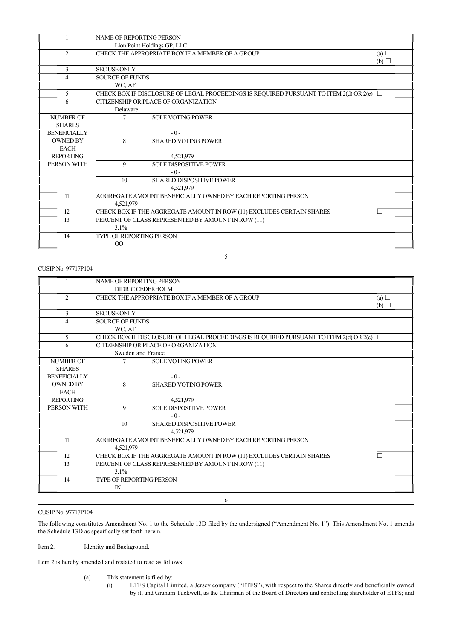|                     | NAME OF REPORTING PERSON                                                        |                                                                                               |            |
|---------------------|---------------------------------------------------------------------------------|-----------------------------------------------------------------------------------------------|------------|
|                     |                                                                                 | Lion Point Holdings GP, LLC                                                                   |            |
| 2                   |                                                                                 | CHECK THE APPROPRIATE BOX IF A MEMBER OF A GROUP                                              | (a) $\Box$ |
|                     |                                                                                 |                                                                                               | (b)        |
| 3                   | <b>SECUSE ONLY</b>                                                              |                                                                                               |            |
| 4                   | <b>SOURCE OF FUNDS</b>                                                          |                                                                                               |            |
|                     | WC, AF                                                                          |                                                                                               |            |
| 5                   |                                                                                 | CHECK BOX IF DISCLOSURE OF LEGAL PROCEEDINGS IS REQUIRED PURSUANT TO ITEM 2(d) OR 2(e) $\Box$ |            |
| 6                   |                                                                                 | CITIZENSHIP OR PLACE OF ORGANIZATION                                                          |            |
|                     | Delaware                                                                        |                                                                                               |            |
| <b>NUMBER OF</b>    | 7                                                                               | <b>SOLE VOTING POWER</b>                                                                      |            |
| <b>SHARES</b>       |                                                                                 |                                                                                               |            |
| <b>BENEFICIALLY</b> |                                                                                 | $-0-$                                                                                         |            |
| <b>OWNED BY</b>     | 8                                                                               | <b>SHARED VOTING POWER</b>                                                                    |            |
| <b>EACH</b>         |                                                                                 |                                                                                               |            |
| <b>REPORTING</b>    |                                                                                 | 4.521.979                                                                                     |            |
| PERSON WITH         | 9                                                                               | <b>SOLE DISPOSITIVE POWER</b>                                                                 |            |
|                     |                                                                                 | $-0-$                                                                                         |            |
|                     | 10                                                                              | <b>SHARED DISPOSITIVE POWER</b>                                                               |            |
|                     |                                                                                 | 4,521,979                                                                                     |            |
| 11                  | AGGREGATE AMOUNT BENEFICIALLY OWNED BY EACH REPORTING PERSON                    |                                                                                               |            |
|                     | 4,521,979                                                                       |                                                                                               |            |
| 12                  | CHECK BOX IF THE AGGREGATE AMOUNT IN ROW (11) EXCLUDES CERTAIN SHARES<br>$\Box$ |                                                                                               |            |
| 13                  | PERCENT OF CLASS REPRESENTED BY AMOUNT IN ROW (11)                              |                                                                                               |            |
|                     | 3.1%                                                                            |                                                                                               |            |
| 14                  | <b>TYPE OF REPORTING PERSON</b>                                                 |                                                                                               |            |
|                     | $^{00}$                                                                         |                                                                                               |            |

5

#### CUSIP No. 97717P104

|                          | NAME OF REPORTING PERSON                                                   |                                                                                          |     |
|--------------------------|----------------------------------------------------------------------------|------------------------------------------------------------------------------------------|-----|
|                          | DIDRIC CEDERHOLM                                                           |                                                                                          |     |
| $\overline{2}$           |                                                                            | CHECK THE APPROPRIATE BOX IF A MEMBER OF A GROUP                                         | (a) |
|                          |                                                                            |                                                                                          | (b) |
| 3                        | <b>SECUSE ONLY</b>                                                         |                                                                                          |     |
| $\overline{\mathcal{L}}$ | <b>SOURCE OF FUNDS</b>                                                     |                                                                                          |     |
|                          | WC, AF                                                                     |                                                                                          |     |
| 5                        |                                                                            | CHECK BOX IF DISCLOSURE OF LEGAL PROCEEDINGS IS REQUIRED PURSUANT TO ITEM 2(d) OR 2(e) □ |     |
| 6                        |                                                                            | CITIZENSHIP OR PLACE OF ORGANIZATION                                                     |     |
|                          | Sweden and France                                                          |                                                                                          |     |
| <b>NUMBER OF</b>         |                                                                            | <b>SOLE VOTING POWER</b>                                                                 |     |
| <b>SHARES</b>            |                                                                            |                                                                                          |     |
| <b>BENEFICIALLY</b>      |                                                                            | $-0-$                                                                                    |     |
| <b>OWNED BY</b>          | $\mathbf{8}$                                                               | <b>SHARED VOTING POWER</b>                                                               |     |
| <b>EACH</b>              |                                                                            |                                                                                          |     |
| <b>REPORTING</b>         |                                                                            | 4,521,979                                                                                |     |
| PERSON WITH              | 9                                                                          | <b>SOLE DISPOSITIVE POWER</b>                                                            |     |
|                          |                                                                            | $-0-$                                                                                    |     |
|                          | 10                                                                         | <b>SHARED DISPOSITIVE POWER</b>                                                          |     |
|                          |                                                                            | 4,521,979                                                                                |     |
| 11                       |                                                                            | AGGREGATE AMOUNT BENEFICIALLY OWNED BY EACH REPORTING PERSON                             |     |
|                          | 4,521,979                                                                  |                                                                                          |     |
| 12                       | CHECK BOX IF THE AGGREGATE AMOUNT IN ROW (11) EXCLUDES CERTAIN SHARES<br>П |                                                                                          |     |
| 13                       | PERCENT OF CLASS REPRESENTED BY AMOUNT IN ROW (11)                         |                                                                                          |     |
|                          | 3.1%                                                                       |                                                                                          |     |
| 14                       | <b>TYPE OF REPORTING PERSON</b>                                            |                                                                                          |     |
|                          | $\mathbb{N}$                                                               |                                                                                          |     |
|                          |                                                                            |                                                                                          |     |
|                          |                                                                            | 6                                                                                        |     |

#### CUSIP No. 97717P104

The following constitutes Amendment No. 1 to the Schedule 13D filed by the undersigned ("Amendment No. 1"). This Amendment No. 1 amends the Schedule 13D as specifically set forth herein.

#### Item 2. **Identity and Background.**

Item 2 is hereby amended and restated to read as follows:

- (a) This statement is filed by:
	-
- (i) ETFS Capital Limited, a Jersey company ("ETFS"), with respect to the Shares directly and beneficially owned by it, and Graham Tuckwell, as the Chairman of the Board of Directors and controlling shareholder of ETFS; and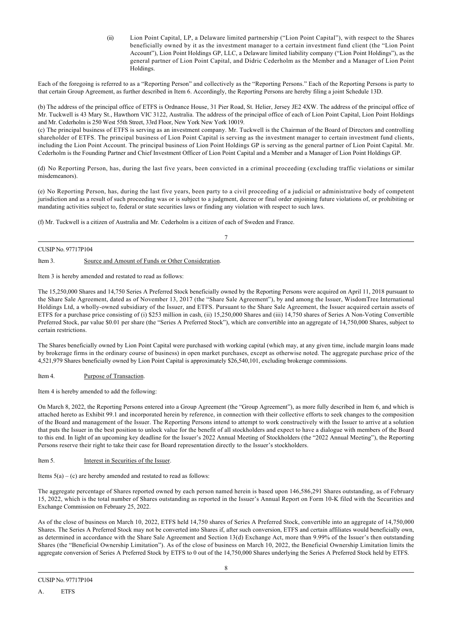(ii) Lion Point Capital, LP, a Delaware limited partnership ("Lion Point Capital"), with respect to the Shares beneficially owned by it as the investment manager to a certain investment fund client (the "Lion Point Account"), Lion Point Holdings GP, LLC, a Delaware limited liability company ("Lion Point Holdings"), as the general partner of Lion Point Capital, and Didric Cederholm as the Member and a Manager of Lion Point Holdings.

Each of the foregoing is referred to as a "Reporting Person" and collectively as the "Reporting Persons." Each of the Reporting Persons is party to that certain Group Agreement, as further described in Item 6. Accordingly, the Reporting Persons are hereby filing a joint Schedule 13D.

(b) The address of the principal office of ETFS is Ordnance House, 31 Pier Road, St. Helier, Jersey JE2 4XW. The address of the principal office of Mr. Tuckwell is 43 Mary St., Hawthorn VIC 3122, Australia. The address of the principal office of each of Lion Point Capital, Lion Point Holdings and Mr. Cederholm is 250 West 55th Street, 33rd Floor, New York New York 10019.

(c) The principal business of ETFS is serving as an investment company. Mr. Tuckwell is the Chairman of the Board of Directors and controlling shareholder of ETFS. The principal business of Lion Point Capital is serving as the investment manager to certain investment fund clients, including the Lion Point Account. The principal business of Lion Point Holdings GP is serving as the general partner of Lion Point Capital. Mr. Cederholm is the Founding Partner and Chief Investment Officer of Lion Point Capital and a Member and a Manager of Lion Point Holdings GP.

(d) No Reporting Person, has, during the last five years, been convicted in a criminal proceeding (excluding traffic violations or similar misdemeanors).

(e) No Reporting Person, has, during the last five years, been party to a civil proceeding of a judicial or administrative body of competent jurisdiction and as a result of such proceeding was or is subject to a judgment, decree or final order enjoining future violations of, or prohibiting or mandating activities subject to, federal or state securities laws or finding any violation with respect to such laws.

7

(f) Mr. Tuckwell is a citizen of Australia and Mr. Cederholm is a citizen of each of Sweden and France.

# CUSIP No. 97717P104

Item 3. Source and Amount of Funds or Other Consideration.

Item 3 is hereby amended and restated to read as follows:

The 15,250,000 Shares and 14,750 Series A Preferred Stock beneficially owned by the Reporting Persons were acquired on April 11, 2018 pursuant to the Share Sale Agreement, dated as of November 13, 2017 (the "Share Sale Agreement"), by and among the Issuer, WisdomTree International Holdings Ltd, a wholly-owned subsidiary of the Issuer, and ETFS. Pursuant to the Share Sale Agreement, the Issuer acquired certain assets of ETFS for a purchase price consisting of (i) \$253 million in cash, (ii) 15,250,000 Shares and (iii) 14,750 shares of Series A Non-Voting Convertible Preferred Stock, par value \$0.01 per share (the "Series A Preferred Stock"), which are convertible into an aggregate of 14,750,000 Shares, subject to certain restrictions.

The Shares beneficially owned by Lion Point Capital were purchased with working capital (which may, at any given time, include margin loans made by brokerage firms in the ordinary course of business) in open market purchases, except as otherwise noted. The aggregate purchase price of the 4,521,979 Shares beneficially owned by Lion Point Capital is approximately \$26,540,101, excluding brokerage commissions.

Item 4. Purpose of Transaction.

Item 4 is hereby amended to add the following:

On March 8, 2022, the Reporting Persons entered into a Group Agreement (the "Group Agreement"), as more fully described in Item 6, and which is attached hereto as Exhibit 99.1 and incorporated herein by reference, in connection with their collective efforts to seek changes to the composition of the Board and management of the Issuer. The Reporting Persons intend to attempt to work constructively with the Issuer to arrive at a solution that puts the Issuer in the best position to unlock value for the benefit of all stockholders and expect to have a dialogue with members of the Board to this end. In light of an upcoming key deadline for the Issuer's 2022 Annual Meeting of Stockholders (the "2022 Annual Meeting"), the Reporting Persons reserve their right to take their case for Board representation directly to the Issuer's stockholders.

Item 5. Interest in Securities of the Issuer.

Items  $5(a) - (c)$  are hereby amended and restated to read as follows:

The aggregate percentage of Shares reported owned by each person named herein is based upon 146,586,291 Shares outstanding, as of February 15, 2022, which is the total number of Shares outstanding as reported in the Issuer's Annual Report on Form 10-K filed with the Securities and Exchange Commission on February 25, 2022.

As of the close of business on March 10, 2022, ETFS held 14,750 shares of Series A Preferred Stock, convertible into an aggregate of 14,750,000 Shares. The Series A Preferred Stock may not be converted into Shares if, after such conversion, ETFS and certain affiliates would beneficially own, as determined in accordance with the Share Sale Agreement and Section 13(d) Exchange Act, more than 9.99% of the Issuer's then outstanding Shares (the "Beneficial Ownership Limitation"). As of the close of business on March 10, 2022, the Beneficial Ownership Limitation limits the aggregate conversion of Series A Preferred Stock by ETFS to 0 out of the 14,750,000 Shares underlying the Series A Preferred Stock held by ETFS.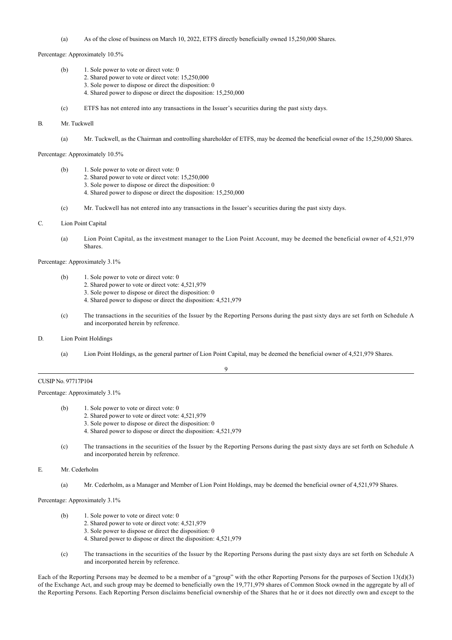(a) As of the close of business on March 10, 2022, ETFS directly beneficially owned 15,250,000 Shares.

Percentage: Approximately 10.5%

- (b) 1. Sole power to vote or direct vote: 0
	- 2. Shared power to vote or direct vote: 15,250,000
	- 3. Sole power to dispose or direct the disposition: 0
	- 4. Shared power to dispose or direct the disposition: 15,250,000
- (c) ETFS has not entered into any transactions in the Issuer's securities during the past sixty days.

#### B. Mr. Tuckwell

(a) Mr. Tuckwell, as the Chairman and controlling shareholder of ETFS, may be deemed the beneficial owner of the 15,250,000 Shares.

Percentage: Approximately 10.5%

- (b) 1. Sole power to vote or direct vote: 0
	- 2. Shared power to vote or direct vote: 15,250,000
		- 3. Sole power to dispose or direct the disposition: 0
		- 4. Shared power to dispose or direct the disposition: 15,250,000
- (c) Mr. Tuckwell has not entered into any transactions in the Issuer's securities during the past sixty days.
- C. Lion Point Capital
	- (a) Lion Point Capital, as the investment manager to the Lion Point Account, may be deemed the beneficial owner of 4,521,979 Shares.

#### Percentage: Approximately 3.1%

- (b) 1. Sole power to vote or direct vote: 0
	- 2. Shared power to vote or direct vote: 4,521,979
	- 3. Sole power to dispose or direct the disposition: 0
	- 4. Shared power to dispose or direct the disposition: 4,521,979
- (c) The transactions in the securities of the Issuer by the Reporting Persons during the past sixty days are set forth on Schedule A and incorporated herein by reference.
- D. Lion Point Holdings
	- (a) Lion Point Holdings, as the general partner of Lion Point Capital, may be deemed the beneficial owner of 4,521,979 Shares.

9

#### CUSIP No. 97717P104

Percentage: Approximately 3.1%

- (b) 1. Sole power to vote or direct vote: 0
	- 2. Shared power to vote or direct vote: 4,521,979
	- 3. Sole power to dispose or direct the disposition: 0
	- 4. Shared power to dispose or direct the disposition: 4,521,979
- (c) The transactions in the securities of the Issuer by the Reporting Persons during the past sixty days are set forth on Schedule A and incorporated herein by reference.

E. Mr. Cederholm

(a) Mr. Cederholm, as a Manager and Member of Lion Point Holdings, may be deemed the beneficial owner of 4,521,979 Shares.

Percentage: Approximately 3.1%

- (b) 1. Sole power to vote or direct vote: 0
	- 2. Shared power to vote or direct vote: 4,521,979
	- 3. Sole power to dispose or direct the disposition: 0
	- 4. Shared power to dispose or direct the disposition: 4,521,979
- (c) The transactions in the securities of the Issuer by the Reporting Persons during the past sixty days are set forth on Schedule A and incorporated herein by reference.

Each of the Reporting Persons may be deemed to be a member of a "group" with the other Reporting Persons for the purposes of Section 13(d)(3) of the Exchange Act, and such group may be deemed to beneficially own the 19,771,979 shares of Common Stock owned in the aggregate by all of the Reporting Persons. Each Reporting Person disclaims beneficial ownership of the Shares that he or it does not directly own and except to the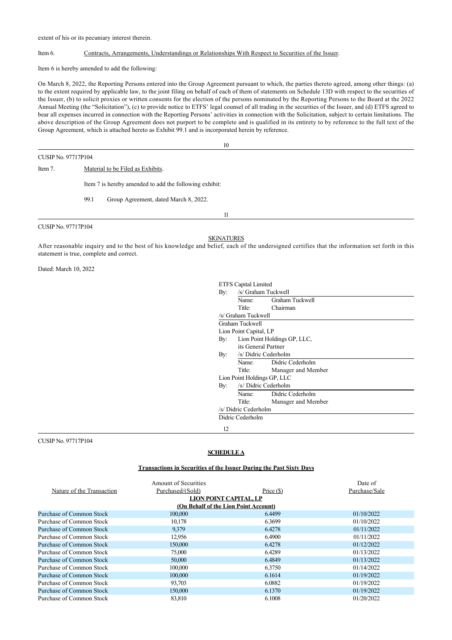extent of his or its pecuniary interest therein.

#### Item 6. Contracts, Arrangements, Understandings or Relationships With Respect to Securities of the Issuer.

Item 6 is hereby amended to add the following:

On March 8, 2022, the Reporting Persons entered into the Group Agreement pursuant to which, the parties thereto agreed, among other things: (a) to the extent required by applicable law, to the joint filing on behalf of each of them of statements on Schedule 13D with respect to the securities of the Issuer, (b) to solicit proxies or written consents for the election of the persons nominated by the Reporting Persons to the Board at the 2022 Annual Meeting (the "Solicitation"), (c) to provide notice to ETFS' legal counsel of all trading in the securities of the Issuer, and (d) ETFS agreed to bear all expenses incurred in connection with the Reporting Persons' activities in connection with the Solicitation, subject to certain limitations. The above description of the Group Agreement does not purport to be complete and is qualified in its entirety to by reference to the full text of the Group Agreement, which is attached hereto as Exhibit 99.1 and is incorporated herein by reference.

CUSIP No. 97717P104

10

Item 7. Material to be Filed as Exhibits.

Item 7 is hereby amended to add the following exhibit:

99.1 Group Agreement, dated March 8, 2022.

CUSIP No. 97717P104

11

**SIGNATURES** 

After reasonable inquiry and to the best of his knowledge and belief, each of the undersigned certifies that the information set forth in this statement is true, complete and correct.

Dated: March 10, 2022

| By: | Name:                       | Graham Tuckwell              |  |
|-----|-----------------------------|------------------------------|--|
|     |                             |                              |  |
|     |                             | Title: Chairman              |  |
|     | /s/ Graham Tuckwell         |                              |  |
|     | Graham Tuckwell             |                              |  |
|     | Lion Point Capital, LP      |                              |  |
| By: |                             | Lion Point Holdings GP, LLC, |  |
|     | its General Partner         |                              |  |
| By: | /s/ Didric Cederholm        |                              |  |
|     |                             | Name: Didric Cederholm       |  |
|     | Title:                      | Manager and Member           |  |
|     | Lion Point Holdings GP, LLC |                              |  |
| By: |                             | /s/ Didric Cederholm         |  |
|     | Name:                       | Didric Cederholm             |  |
|     | Title:                      | Manager and Member           |  |
|     | /s/ Didric Cederholm        |                              |  |
|     | Didric Cederholm            |                              |  |

CUSIP No. 97717P104

## **SCHEDULE A**

#### **Transactions in Securities of the Issuer During the Past Sixty Days**

|                           | <b>Amount of Securities</b>           |            | Date of       |
|---------------------------|---------------------------------------|------------|---------------|
| Nature of the Transaction | Purchased/(Sold)                      | Price (\$) | Purchase/Sale |
|                           | LION POINT CAPITAL, LP                |            |               |
|                           | (On Behalf of the Lion Point Account) |            |               |
| Purchase of Common Stock  | 100,000                               | 6.4499     | 01/10/2022    |
| Purchase of Common Stock  | 10.178                                | 6.3699     | 01/10/2022    |
| Purchase of Common Stock  | 9,379                                 | 6.4278     | 01/11/2022    |
| Purchase of Common Stock  | 12,956                                | 6.4900     | 01/11/2022    |
| Purchase of Common Stock  | 150,000                               | 6.4278     | 01/12/2022    |
| Purchase of Common Stock  | 75,000                                | 6.4289     | 01/13/2022    |
| Purchase of Common Stock  | 50,000                                | 6.4849     | 01/13/2022    |
| Purchase of Common Stock  | 100,000                               | 6.3750     | 01/14/2022    |
| Purchase of Common Stock  | 100,000                               | 6.1614     | 01/19/2022    |
| Purchase of Common Stock  | 93,703                                | 6.0882     | 01/19/2022    |
| Purchase of Common Stock  | 150,000                               | 6.1370     | 01/19/2022    |
| Purchase of Common Stock  | 83,810                                | 6.1008     | 01/20/2022    |